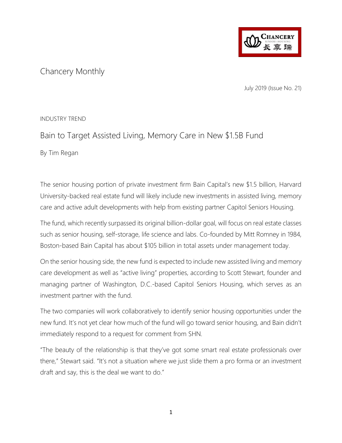

# Chancery Monthly

July 2019 (Issue No. 21)

#### INDUSTRY TREND

## Bain to Target Assisted Living, Memory Care in New \$1.5B Fund

By Tim Regan

The senior housing portion of private investment firm Bain Capital's new \$1.5 billion, Harvard University-backed real estate fund will likely include new investments in assisted living, memory care and active adult developments with help from existing partner Capitol Seniors Housing.

The fund, which recently surpassed its original billion-dollar goal, will focus on real estate classes such as senior housing, self-storage, life science and labs. Co-founded by Mitt Romney in 1984, Boston-based Bain Capital has about \$105 billion in total assets under management today.

On the senior housing side, the new fund is expected to include new assisted living and memory care development as well as "active living" properties, according to Scott Stewart, founder and managing partner of Washington, D.C.-based Capitol Seniors Housing, which serves as an investment partner with the fund.

The two companies will work collaboratively to identify senior housing opportunities under the new fund. It's not yet clear how much of the fund will go toward senior housing, and Bain didn't immediately respond to a request for comment from SHN.

"The beauty of the relationship is that they've got some smart real estate professionals over there," Stewart said. "It's not a situation where we just slide them a pro forma or an investment draft and say, this is the deal we want to do."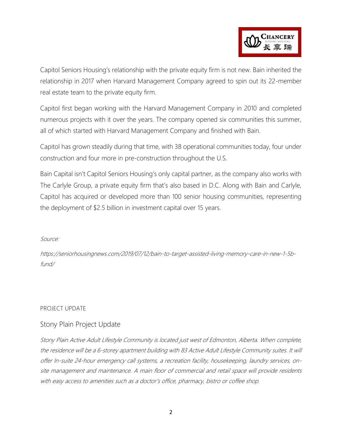

Capitol Seniors Housing's relationship with the private equity firm is not new. Bain inherited the relationship in 2017 when Harvard Management Company agreed to spin out its 22-member real estate team to the private equity firm.

Capitol first began working with the Harvard Management Company in 2010 and completed numerous projects with it over the years. The company opened six communities this summer, all of which started with Harvard Management Company and finished with Bain.

Capitol has grown steadily during that time, with 38 operational communities today, four under construction and four more in pre-construction throughout the U.S.

Bain Capital isn't Capitol Seniors Housing's only capital partner, as the company also works with The Carlyle Group, a private equity firm that's also based in D.C. Along with Bain and Carlyle, Capitol has acquired or developed more than 100 senior housing communities, representing the deployment of \$2.5 billion in investment capital over 15 years.

#### Source:

https://seniorhousingnews.com/2019/07/12/bain-to-target-assisted-living-memory-care-in-new-1-5bfund/

#### PROJECT UPDATE

#### Stony Plain Project Update

Stony Plain Active Adult Lifestyle Community is located just west of Edmonton, Alberta. When complete, the residence will be a 6-storey apartment building with 83 Active Adult Lifestyle Community suites. It will offer In-suite 24-hour emergency call systems, a recreation facility, housekeeping, laundry services, onsite management and maintenance. A main floor of commercial and retail space will provide residents with easy access to amenities such as a doctor's office, pharmacy, bistro or coffee shop.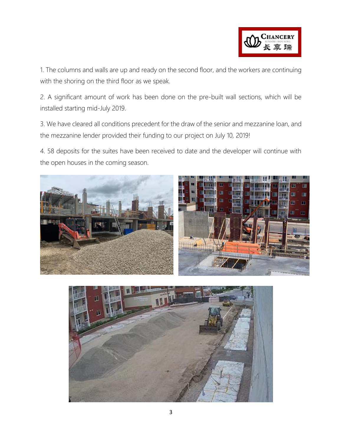

1. The columns and walls are up and ready on the second floor, and the workers are continuing with the shoring on the third floor as we speak.

2. A significant amount of work has been done on the pre-built wall sections, which will be installed starting mid-July 2019.

3. We have cleared all conditions precedent for the draw of the senior and mezzanine loan, and the mezzanine lender provided their funding to our project on July 10, 2019!

4. 58 deposits for the suites have been received to date and the developer will continue with the open houses in the coming season.



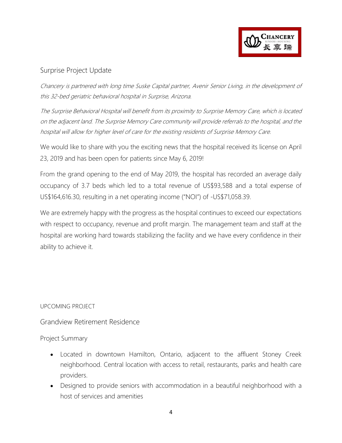

### Surprise Project Update

Chancery is partnered with long time Suske Capital partner, Avenir Senior Living, in the development of this 32-bed geriatric behavioral hospital in Surprise, Arizona.

The Surprise Behavioral Hospital will benefit from its proximity to Surprise Memory Care, which is located on the adjacent land. The Surprise Memory Care community will provide referrals to the hospital, and the hospital will allow for higher level of care for the existing residents of Surprise Memory Care.

We would like to share with you the exciting news that the hospital received its license on April 23, 2019 and has been open for patients since May 6, 2019!

From the grand opening to the end of May 2019, the hospital has recorded an average daily occupancy of 3.7 beds which led to a total revenue of US\$93,588 and a total expense of US\$164,616.30, resulting in a net operating income ("NOI") of -US\$71,058.39.

We are extremely happy with the progress as the hospital continues to exceed our expectations with respect to occupancy, revenue and profit margin. The management team and staff at the hospital are working hard towards stabilizing the facility and we have every confidence in their ability to achieve it.

UPCOMING PROJECT

Grandview Retirement Residence

Project Summary

- Located in downtown Hamilton, Ontario, adjacent to the affluent Stoney Creek neighborhood. Central location with access to retail, restaurants, parks and health care providers.
- Designed to provide seniors with accommodation in a beautiful neighborhood with a host of services and amenities